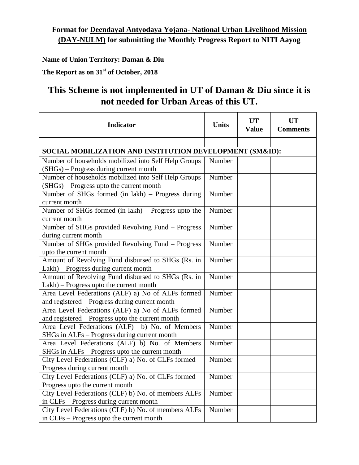## **Format for Deendayal Antyodaya Yojana- National Urban Livelihood Mission (DAY-NULM) for submitting the Monthly Progress Report to NITI Aayog**

**Name of Union Territory: Daman & Diu**

**The Report as on 31st of October, 2018**

## **This Scheme is not implemented in UT of Daman & Diu since it is not needed for Urban Areas of this UT.**

| <b>Indicator</b>                                                                               | <b>Units</b> | <b>UT</b><br><b>Value</b> | <b>UT</b><br><b>Comments</b> |
|------------------------------------------------------------------------------------------------|--------------|---------------------------|------------------------------|
|                                                                                                |              |                           |                              |
| SOCIAL MOBILIZATION AND INSTITUTION DEVELOPMENT (SM&ID):                                       |              |                           |                              |
| Number of households mobilized into Self Help Groups                                           | Number       |                           |                              |
| (SHGs) – Progress during current month                                                         |              |                           |                              |
| Number of households mobilized into Self Help Groups                                           | Number       |                           |                              |
| (SHGs) - Progress upto the current month                                                       |              |                           |                              |
| Number of SHGs formed (in lakh) - Progress during                                              | Number       |                           |                              |
| current month                                                                                  |              |                           |                              |
| Number of SHGs formed (in lakh) - Progress upto the                                            | Number       |                           |                              |
| current month                                                                                  |              |                           |                              |
| Number of SHGs provided Revolving Fund - Progress                                              | Number       |                           |                              |
| during current month                                                                           |              |                           |                              |
| Number of SHGs provided Revolving Fund – Progress                                              | Number       |                           |                              |
| upto the current month                                                                         |              |                           |                              |
| Amount of Revolving Fund disbursed to SHGs (Rs. in                                             | Number       |                           |                              |
| Lakh) - Progress during current month                                                          |              |                           |                              |
| Amount of Revolving Fund disbursed to SHGs (Rs. in                                             | Number       |                           |                              |
| Lakh) - Progress upto the current month                                                        |              |                           |                              |
| Area Level Federations (ALF) a) No of ALFs formed                                              | Number       |                           |                              |
| and registered - Progress during current month                                                 |              |                           |                              |
| Area Level Federations (ALF) a) No of ALFs formed                                              | Number       |                           |                              |
| and registered - Progress upto the current month                                               |              |                           |                              |
| Area Level Federations (ALF) b) No. of Members                                                 | Number       |                           |                              |
| SHGs in ALFs – Progress during current month<br>Area Level Federations (ALF) b) No. of Members | Number       |                           |                              |
| SHGs in ALFs – Progress upto the current month                                                 |              |                           |                              |
| City Level Federations (CLF) a) No. of CLFs formed -                                           | Number       |                           |                              |
| Progress during current month                                                                  |              |                           |                              |
| City Level Federations (CLF) a) No. of CLFs formed -                                           | Number       |                           |                              |
| Progress upto the current month                                                                |              |                           |                              |
| City Level Federations (CLF) b) No. of members ALFs                                            | Number       |                           |                              |
| in CLFs – Progress during current month                                                        |              |                           |                              |
| City Level Federations (CLF) b) No. of members ALFs                                            | Number       |                           |                              |
| in CLFs – Progress upto the current month                                                      |              |                           |                              |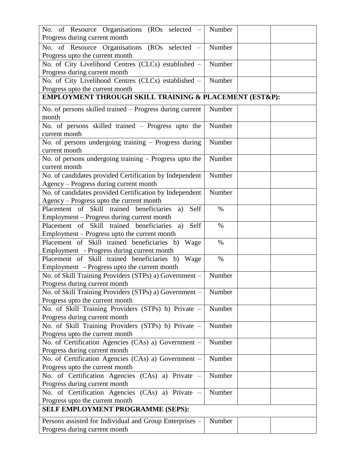| No. of Resource Organisations (ROs selected –                                          | Number |  |
|----------------------------------------------------------------------------------------|--------|--|
| Progress during current month                                                          |        |  |
| No. of Resource Organisations (ROs selected                                            | Number |  |
| Progress upto the current month                                                        |        |  |
| No. of City Livelihood Centres (CLCs) established -                                    | Number |  |
| Progress during current month                                                          |        |  |
| No. of City Livelihood Centres (CLCs) established -                                    | Number |  |
| Progress upto the current month                                                        |        |  |
| EMPLOYMENT THROUGH SKILL TRAINING & PLACEMENT (EST&P):                                 |        |  |
| No. of persons skilled trained - Progress during current                               | Number |  |
| month                                                                                  |        |  |
| No. of persons skilled trained - Progress upto the                                     | Number |  |
| current month                                                                          |        |  |
| No. of persons undergoing training - Progress during                                   | Number |  |
| current month                                                                          |        |  |
| No. of persons undergoing training – Progress upto the                                 | Number |  |
| current month                                                                          |        |  |
| No. of candidates provided Certification by Independent                                | Number |  |
| Agency - Progress during current month                                                 |        |  |
| No. of candidates provided Certification by Independent                                | Number |  |
| Agency - Progress upto the current month                                               |        |  |
| Placement of Skill trained beneficiaries<br>Self<br>a)                                 | $\%$   |  |
| Employment - Progress during current month                                             |        |  |
| Placement of Skill trained beneficiaries<br>Self<br>a)                                 | $\%$   |  |
| Employment – Progress upto the current month                                           |        |  |
| Placement of Skill trained beneficiaries b)<br>Wage                                    | $\%$   |  |
| Employment - Progress during current month                                             |        |  |
| Placement of Skill trained beneficiaries b)<br>Wage                                    | $\%$   |  |
| Employment - Progress upto the current month                                           |        |  |
| No. of Skill Training Providers (STPs) a) Government -                                 | Number |  |
| Progress during current month                                                          |        |  |
| No. of Skill Training Providers (STPs) a) Government –                                 | Number |  |
| Progress upto the current month                                                        |        |  |
| No. of Skill Training Providers (STPs) b) Private -                                    | Number |  |
| Progress during current month                                                          | Number |  |
| No. of Skill Training Providers (STPs) b) Private -<br>Progress upto the current month |        |  |
| No. of Certification Agencies (CAs) a) Government -                                    | Number |  |
| Progress during current month                                                          |        |  |
| No. of Certification Agencies (CAs) a) Government -                                    | Number |  |
| Progress upto the current month                                                        |        |  |
| No. of Certification Agencies (CAs) a) Private -                                       | Number |  |
| Progress during current month                                                          |        |  |
| No. of Certification Agencies (CAs) a) Private –                                       | Number |  |
| Progress upto the current month                                                        |        |  |
| SELF EMPLOYMENT PROGRAMME (SEPS):                                                      |        |  |
|                                                                                        |        |  |
| Persons assisted for Individual and Group Enterprises -                                | Number |  |
| Progress during current month                                                          |        |  |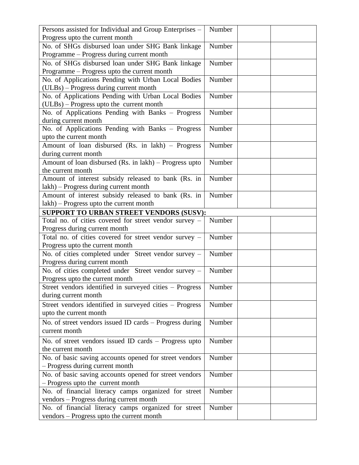| Persons assisted for Individual and Group Enterprises -  | Number |
|----------------------------------------------------------|--------|
| Progress upto the current month                          |        |
| No. of SHGs disbursed loan under SHG Bank linkage        | Number |
| Programme - Progress during current month                |        |
| No. of SHGs disbursed loan under SHG Bank linkage        | Number |
| Programme - Progress upto the current month              |        |
| No. of Applications Pending with Urban Local Bodies      | Number |
| (ULBs) – Progress during current month                   |        |
| No. of Applications Pending with Urban Local Bodies      | Number |
| (ULBs) - Progress upto the current month                 |        |
| No. of Applications Pending with Banks - Progress        | Number |
| during current month                                     |        |
| No. of Applications Pending with Banks - Progress        | Number |
| upto the current month                                   |        |
| Amount of loan disbursed (Rs. in lakh) - Progress        | Number |
| during current month                                     |        |
| Amount of loan disbursed $(Rs. in 1akh)$ – Progress upto | Number |
| the current month                                        |        |
| Amount of interest subsidy released to bank (Rs. in      | Number |
| lakh) – Progress during current month                    |        |
| Amount of interest subsidy released to bank (Rs. in      | Number |
| lakh) – Progress upto the current month                  |        |
| SUPPORT TO URBAN STREET VENDORS (SUSV):                  |        |
| Total no. of cities covered for street vendor survey -   | Number |
| Progress during current month                            |        |
| Total no. of cities covered for street vendor survey -   | Number |
| Progress upto the current month                          |        |
| No. of cities completed under Street vendor survey -     | Number |
| Progress during current month                            |        |
| No. of cities completed under Street vendor survey -     | Number |
| Progress upto the current month                          |        |
| Street vendors identified in surveyed cities - Progress  | Number |
| during current month                                     |        |
| Street vendors identified in surveyed cities - Progress  | Number |
| upto the current month                                   |        |
| No. of street vendors issued ID cards – Progress during  | Number |
| current month                                            |        |
|                                                          |        |
| No. of street vendors issued ID cards - Progress upto    | Number |
| the current month                                        |        |
| No. of basic saving accounts opened for street vendors   | Number |
| - Progress during current month                          |        |
| No. of basic saving accounts opened for street vendors   | Number |
| - Progress upto the current month                        |        |
| No. of financial literacy camps organized for street     | Number |
| vendors - Progress during current month                  |        |
| No. of financial literacy camps organized for street     | Number |
| vendors - Progress upto the current month                |        |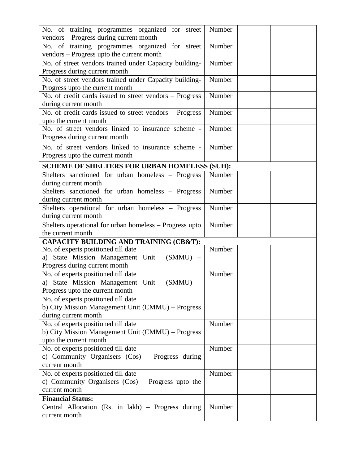| No. of training programmes organized for street<br>vendors - Progress during current month                               | Number |
|--------------------------------------------------------------------------------------------------------------------------|--------|
| No. of training programmes organized for street<br>vendors - Progress upto the current month                             | Number |
| No. of street vendors trained under Capacity building-<br>Progress during current month                                  | Number |
| No. of street vendors trained under Capacity building-                                                                   | Number |
| Progress upto the current month                                                                                          |        |
| No. of credit cards issued to street vendors - Progress<br>during current month                                          | Number |
| No. of credit cards issued to street vendors - Progress<br>upto the current month                                        | Number |
| No. of street vendors linked to insurance scheme -<br>Progress during current month                                      | Number |
| No. of street vendors linked to insurance scheme -<br>Progress upto the current month                                    | Number |
| <b>SCHEME OF SHELTERS FOR URBAN HOMELESS (SUH):</b>                                                                      |        |
| Shelters sanctioned for urban homeless - Progress<br>during current month                                                | Number |
| Shelters sanctioned for urban homeless - Progress<br>during current month                                                | Number |
| Shelters operational for urban homeless - Progress<br>during current month                                               | Number |
| Shelters operational for urban homeless - Progress upto<br>the current month                                             | Number |
| <b>CAPACITY BUILDING AND TRAINING (CB&amp;T):</b>                                                                        |        |
| No. of experts positioned till date<br>a) State Mission Management Unit<br>$(SMMU)$ –<br>Progress during current month   | Number |
| No. of experts positioned till date<br>a) State Mission Management Unit<br>$(SMMU)$ –<br>Progress upto the current month | Number |
| No. of experts positioned till date<br>b) City Mission Management Unit (CMMU) – Progress<br>during current month         |        |
| No. of experts positioned till date<br>b) City Mission Management Unit (CMMU) - Progress<br>upto the current month       | Number |
| No. of experts positioned till date<br>c) Community Organisers (Cos) – Progress during<br>current month                  | Number |
| No. of experts positioned till date<br>c) Community Organisers $(Cos)$ – Progress upto the<br>current month              | Number |
| <b>Financial Status:</b>                                                                                                 |        |
| Central Allocation (Rs. in lakh) – Progress during<br>current month                                                      | Number |